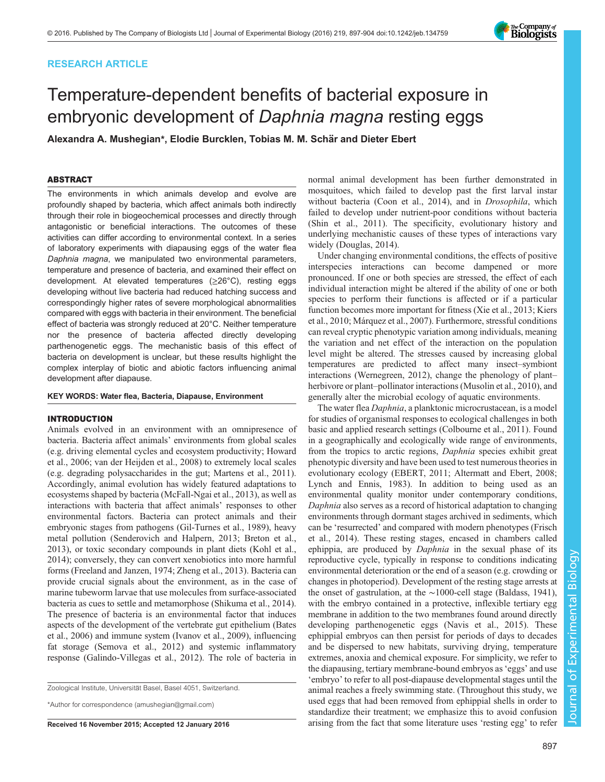## RESEARCH ARTICLE

# Temperature-dependent benefits of bacterial exposure in embryonic development of Daphnia magna resting eggs

Alexandra A. Mushegian\*, Elodie Burcklen, Tobias M. M. Schär and Dieter Ebert

## ABSTRACT

The environments in which animals develop and evolve are profoundly shaped by bacteria, which affect animals both indirectly through their role in biogeochemical processes and directly through antagonistic or beneficial interactions. The outcomes of these activities can differ according to environmental context. In a series of laboratory experiments with diapausing eggs of the water flea Daphnia magna, we manipulated two environmental parameters, temperature and presence of bacteria, and examined their effect on development. At elevated temperatures (≥26°C), resting eggs developing without live bacteria had reduced hatching success and correspondingly higher rates of severe morphological abnormalities compared with eggs with bacteria in their environment. The beneficial effect of bacteria was strongly reduced at 20°C. Neither temperature nor the presence of bacteria affected directly developing parthenogenetic eggs. The mechanistic basis of this effect of bacteria on development is unclear, but these results highlight the complex interplay of biotic and abiotic factors influencing animal development after diapause.

## KEY WORDS: Water flea, Bacteria, Diapause, Environment

## INTRODUCTION

Animals evolved in an environment with an omnipresence of bacteria. Bacteria affect animals' environments from global scales (e.g. driving elemental cycles and ecosystem productivity; [Howard](#page-7-0) [et al., 2006](#page-7-0); [van der Heijden et al., 2008](#page-7-0)) to extremely local scales (e.g. degrading polysaccharides in the gut; [Martens et al., 2011\)](#page-7-0). Accordingly, animal evolution has widely featured adaptations to ecosystems shaped by bacteria [\(McFall-Ngai et al., 2013](#page-7-0)), as well as interactions with bacteria that affect animals' responses to other environmental factors. Bacteria can protect animals and their embryonic stages from pathogens [\(Gil-Turnes et al., 1989](#page-7-0)), heavy metal pollution ([Senderovich and Halpern, 2013](#page-7-0); [Breton et al.,](#page-6-0) [2013](#page-6-0)), or toxic secondary compounds in plant diets ([Kohl et al.,](#page-7-0) [2014](#page-7-0)); conversely, they can convert xenobiotics into more harmful forms [\(Freeland and Janzen, 1974; Zheng et al., 2013\)](#page-7-0). Bacteria can provide crucial signals about the environment, as in the case of marine tubeworm larvae that use molecules from surface-associated bacteria as cues to settle and metamorphose ([Shikuma et al., 2014\)](#page-7-0). The presence of bacteria is an environmental factor that induces aspects of the development of the vertebrate gut epithelium [\(Bates](#page-6-0) [et al., 2006\)](#page-6-0) and immune system ([Ivanov et al., 2009\)](#page-7-0), influencing fat storage ([Semova et al., 2012](#page-7-0)) and systemic inflammatory response ([Galindo-Villegas et al., 2012](#page-7-0)). The role of bacteria in

Zoological Institute, Universität Basel, Basel 4051, Switzerland.

\*Author for correspondence [\(amushegian@gmail.com\)](mailto:amushegian@gmail.com)

normal animal development has been further demonstrated in mosquitoes, which failed to develop past the first larval instar without bacteria ([Coon et al., 2014](#page-6-0)), and in Drosophila, which failed to develop under nutrient-poor conditions without bacteria [\(Shin et al., 2011\)](#page-7-0). The specificity, evolutionary history and underlying mechanistic causes of these types of interactions vary widely [\(Douglas, 2014\)](#page-6-0).

Under changing environmental conditions, the effects of positive interspecies interactions can become dampened or more pronounced. If one or both species are stressed, the effect of each individual interaction might be altered if the ability of one or both species to perform their functions is affected or if a particular function becomes more important for fitness [\(Xie et al., 2013](#page-7-0); [Kiers](#page-7-0) [et al., 2010; Márquez et al., 2007\)](#page-7-0). Furthermore, stressful conditions can reveal cryptic phenotypic variation among individuals, meaning the variation and net effect of the interaction on the population level might be altered. The stresses caused by increasing global temperatures are predicted to affect many insect–symbiont interactions ([Wernegreen, 2012](#page-7-0)), change the phenology of plant– herbivore or plant–pollinator interactions [\(Musolin et al., 2010](#page-7-0)), and generally alter the microbial ecology of aquatic environments.

The water flea Daphnia, a planktonic microcrustacean, is a model for studies of organismal responses to ecological challenges in both basic and applied research settings ([Colbourne et al., 2011\)](#page-6-0). Found in a geographically and ecologically wide range of environments, from the tropics to arctic regions, Daphnia species exhibit great phenotypic diversity and have been used to test numerous theories in evolutionary ecology [\(EBERT, 2011;](#page-7-0) [Altermatt and Ebert, 2008](#page-6-0); [Lynch and Ennis, 1983](#page-7-0)). In addition to being used as an environmental quality monitor under contemporary conditions, Daphnia also serves as a record of historical adaptation to changing environments through dormant stages archived in sediments, which can be 'resurrected' and compared with modern phenotypes ([Frisch](#page-7-0) [et al., 2014](#page-7-0)). These resting stages, encased in chambers called ephippia, are produced by *Daphnia* in the sexual phase of its reproductive cycle, typically in response to conditions indicating environmental deterioration or the end of a season (e.g. crowding or changes in photoperiod). Development of the resting stage arrests at the onset of gastrulation, at the ∼1000-cell stage ([Baldass, 1941\)](#page-6-0), with the embryo contained in a protective, inflexible tertiary egg membrane in addition to the two membranes found around directly developing parthenogenetic eggs ([Navis et al., 2015\)](#page-7-0). These ephippial embryos can then persist for periods of days to decades and be dispersed to new habitats, surviving drying, temperature extremes, anoxia and chemical exposure. For simplicity, we refer to the diapausing, tertiary membrane-bound embryos as'eggs' and use 'embryo' to refer to all post-diapause developmental stages until the animal reaches a freely swimming state. (Throughout this study, we used eggs that had been removed from ephippial shells in order to standardize their treatment; we emphasize this to avoid confusion Received 16 November 2015; Accepted 12 January 2016 arising from the fact that some literature uses 'resting egg' to refer

Journal of Experimental Biology

Journal of

Experimental Biology

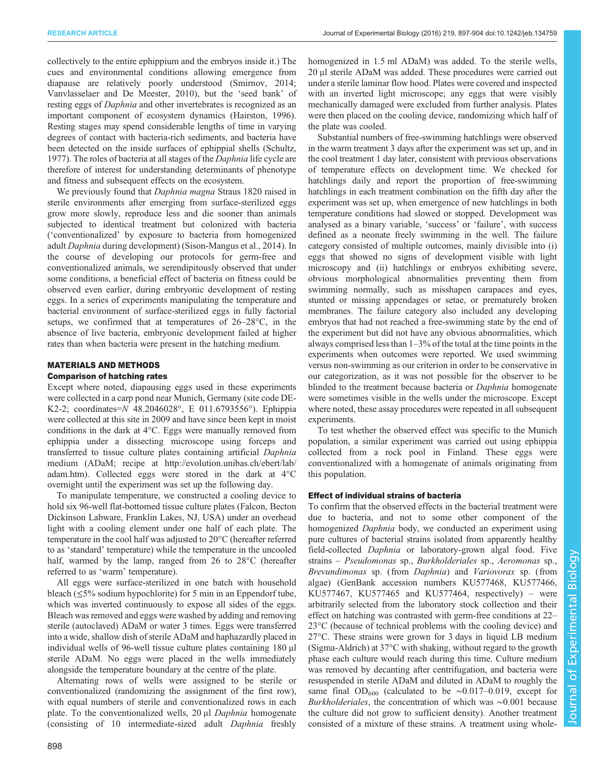collectively to the entire ephippium and the embryos inside it.) The cues and environmental conditions allowing emergence from diapause are relatively poorly understood ([Smirnov, 2014](#page-7-0); [Vanvlasselaer and De Meester, 2010\)](#page-7-0), but the 'seed bank' of resting eggs of *Daphnia* and other invertebrates is recognized as an important component of ecosystem dynamics [\(Hairston, 1996\)](#page-7-0). Resting stages may spend considerable lengths of time in varying degrees of contact with bacteria-rich sediments, and bacteria have been detected on the inside surfaces of ephippial shells [\(Schultz,](#page-7-0) [1977](#page-7-0)). The roles of bacteria at all stages of the Daphnia life cycle are therefore of interest for understanding determinants of phenotype and fitness and subsequent effects on the ecosystem.

We previously found that *Daphnia magna* Straus 1820 raised in sterile environments after emerging from surface-sterilized eggs grow more slowly, reproduce less and die sooner than animals subjected to identical treatment but colonized with bacteria ('conventionalized' by exposure to bacteria from homogenized adult Daphnia during development) [\(Sison-Mangus et al., 2014\)](#page-7-0). In the course of developing our protocols for germ-free and conventionalized animals, we serendipitously observed that under some conditions, a beneficial effect of bacteria on fitness could be observed even earlier, during embryonic development of resting eggs. In a series of experiments manipulating the temperature and bacterial environment of surface-sterilized eggs in fully factorial setups, we confirmed that at temperatures of 26–28°C, in the absence of live bacteria, embryonic development failed at higher rates than when bacteria were present in the hatching medium.

## MATERIALS AND METHODS

## Comparison of hatching rates

Except where noted, diapausing eggs used in these experiments were collected in a carp pond near Munich, Germany (site code DE-K2-2; coordinates=N 48.2046028°, E 011.6793556°). Ephippia were collected at this site in 2009 and have since been kept in moist conditions in the dark at 4°C. Eggs were manually removed from ephippia under a dissecting microscope using forceps and transferred to tissue culture plates containing artificial Daphnia medium (ADaM; recipe at [http://evolution.unibas.ch/ebert/lab/](http://evolution.unibas.ch/ebert/lab/adam.htm) [adam.htm](http://evolution.unibas.ch/ebert/lab/adam.htm)). Collected eggs were stored in the dark at 4°C overnight until the experiment was set up the following day.

To manipulate temperature, we constructed a cooling device to hold six 96-well flat-bottomed tissue culture plates (Falcon, Becton Dickinson Labware, Franklin Lakes, NJ, USA) under an overhead light with a cooling element under one half of each plate. The temperature in the cool half was adjusted to 20°C (hereafter referred to as 'standard' temperature) while the temperature in the uncooled half, warmed by the lamp, ranged from 26 to 28°C (hereafter referred to as 'warm' temperature).

All eggs were surface-sterilized in one batch with household bleach (≤5% sodium hypochlorite) for 5 min in an Eppendorf tube, which was inverted continuously to expose all sides of the eggs. Bleach was removed and eggs were washed by adding and removing sterile (autoclaved) ADaM or water 3 times. Eggs were transferred into a wide, shallow dish of sterile ADaM and haphazardly placed in individual wells of 96-well tissue culture plates containing 180 μl sterile ADaM. No eggs were placed in the wells immediately alongside the temperature boundary at the centre of the plate.

Alternating rows of wells were assigned to be sterile or conventionalized (randomizing the assignment of the first row), with equal numbers of sterile and conventionalized rows in each plate. To the conventionalized wells, 20 μl Daphnia homogenate (consisting of 10 intermediate-sized adult Daphnia freshly

homogenized in 1.5 ml ADaM) was added. To the sterile wells, 20 μl sterile ADaM was added. These procedures were carried out under a sterile laminar flow hood. Plates were covered and inspected with an inverted light microscope; any eggs that were visibly mechanically damaged were excluded from further analysis. Plates were then placed on the cooling device, randomizing which half of the plate was cooled.

Substantial numbers of free-swimming hatchlings were observed in the warm treatment 3 days after the experiment was set up, and in the cool treatment 1 day later, consistent with previous observations of temperature effects on development time. We checked for hatchlings daily and report the proportion of free-swimming hatchlings in each treatment combination on the fifth day after the experiment was set up, when emergence of new hatchlings in both temperature conditions had slowed or stopped. Development was analysed as a binary variable, 'success' or 'failure', with success defined as a neonate freely swimming in the well. The failure category consisted of multiple outcomes, mainly divisible into (i) eggs that showed no signs of development visible with light microscopy and (ii) hatchlings or embryos exhibiting severe, obvious morphological abnormalities preventing them from swimming normally, such as misshapen carapaces and eyes, stunted or missing appendages or setae, or prematurely broken membranes. The failure category also included any developing embryos that had not reached a free-swimming state by the end of the experiment but did not have any obvious abnormalities, which always comprised less than 1–3% of the total at the time points in the experiments when outcomes were reported. We used swimming versus non-swimming as our criterion in order to be conservative in our categorization, as it was not possible for the observer to be blinded to the treatment because bacteria or *Daphnia* homogenate were sometimes visible in the wells under the microscope. Except where noted, these assay procedures were repeated in all subsequent experiments.

To test whether the observed effect was specific to the Munich population, a similar experiment was carried out using ephippia collected from a rock pool in Finland. These eggs were conventionalized with a homogenate of animals originating from this population.

## Effect of individual strains of bacteria

To confirm that the observed effects in the bacterial treatment were due to bacteria, and not to some other component of the homogenized *Daphnia* body, we conducted an experiment using pure cultures of bacterial strains isolated from apparently healthy field-collected Daphnia or laboratory-grown algal food. Five strains – Pseudomonas sp., Burkholderiales sp., Aeromonas sp., Brevundimonas sp. (from Daphnia) and Variovorax sp. (from algae) (GenBank accession numbers KU577468, KU577466, KU577467, KU577465 and KU577464, respectively) – were arbitrarily selected from the laboratory stock collection and their effect on hatching was contrasted with germ-free conditions at 22– 23°C (because of technical problems with the cooling device) and 27°C. These strains were grown for 3 days in liquid LB medium (Sigma-Aldrich) at 37°C with shaking, without regard to the growth phase each culture would reach during this time. Culture medium was removed by decanting after centrifugation, and bacteria were resuspended in sterile ADaM and diluted in ADaM to roughly the same final OD<sub>600</sub> (calculated to be ~0.017–0.019, except for Burkholderiales, the concentration of which was ∼0.001 because the culture did not grow to sufficient density). Another treatment consisted of a mixture of these strains. A treatment using whole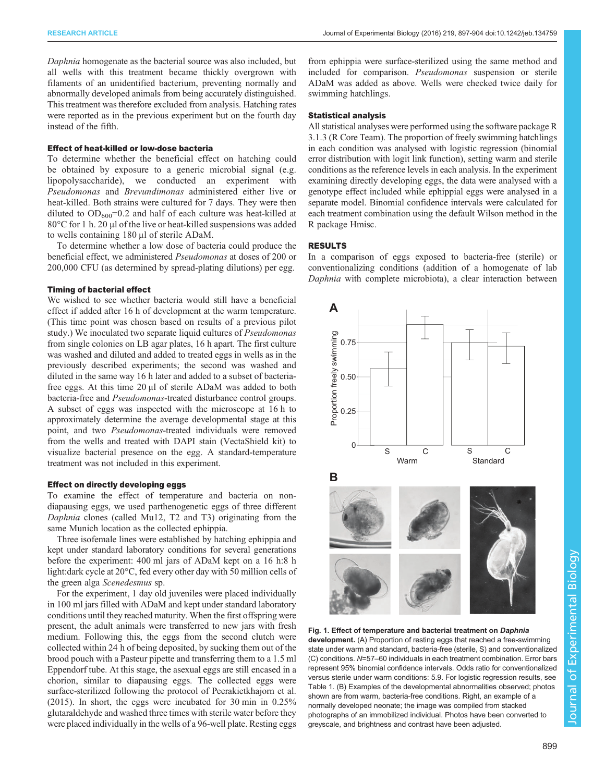<span id="page-2-0"></span>Daphnia homogenate as the bacterial source was also included, but all wells with this treatment became thickly overgrown with filaments of an unidentified bacterium, preventing normally and abnormally developed animals from being accurately distinguished. This treatment was therefore excluded from analysis. Hatching rates were reported as in the previous experiment but on the fourth day instead of the fifth.

## Effect of heat-killed or low-dose bacteria

To determine whether the beneficial effect on hatching could be obtained by exposure to a generic microbial signal (e.g. lipopolysaccharide), we conducted an experiment with Pseudomonas and Brevundimonas administered either live or heat-killed. Both strains were cultured for 7 days. They were then diluted to  $OD_{600} = 0.2$  and half of each culture was heat-killed at 80°C for 1 h. 20 μl of the live or heat-killed suspensions was added to wells containing 180 μl of sterile ADaM.

To determine whether a low dose of bacteria could produce the beneficial effect, we administered Pseudomonas at doses of 200 or 200,000 CFU (as determined by spread-plating dilutions) per egg.

## Timing of bacterial effect

We wished to see whether bacteria would still have a beneficial effect if added after 16 h of development at the warm temperature. (This time point was chosen based on results of a previous pilot study.) We inoculated two separate liquid cultures of *Pseudomonas* from single colonies on LB agar plates, 16 h apart. The first culture was washed and diluted and added to treated eggs in wells as in the previously described experiments; the second was washed and diluted in the same way 16 h later and added to a subset of bacteriafree eggs. At this time 20 μl of sterile ADaM was added to both bacteria-free and Pseudomonas-treated disturbance control groups. A subset of eggs was inspected with the microscope at 16 h to approximately determine the average developmental stage at this point, and two Pseudomonas-treated individuals were removed from the wells and treated with DAPI stain (VectaShield kit) to visualize bacterial presence on the egg. A standard-temperature treatment was not included in this experiment.

## Effect on directly developing eggs

To examine the effect of temperature and bacteria on nondiapausing eggs, we used parthenogenetic eggs of three different Daphnia clones (called Mu12, T2 and T3) originating from the same Munich location as the collected ephippia.

Three isofemale lines were established by hatching ephippia and kept under standard laboratory conditions for several generations before the experiment: 400 ml jars of ADaM kept on a 16 h:8 h light:dark cycle at 20°C, fed every other day with 50 million cells of the green alga Scenedesmus sp.

For the experiment, 1 day old juveniles were placed individually in 100 ml jars filled with ADaM and kept under standard laboratory conditions until they reached maturity. When the first offspring were present, the adult animals were transferred to new jars with fresh medium. Following this, the eggs from the second clutch were collected within 24 h of being deposited, by sucking them out of the brood pouch with a Pasteur pipette and transferring them to a 1.5 ml Eppendorf tube. At this stage, the asexual eggs are still encased in a chorion, similar to diapausing eggs. The collected eggs were surface-sterilized following the protocol of [Peerakietkhajorn et al.](#page-7-0) [\(2015\)](#page-7-0). In short, the eggs were incubated for 30 min in 0.25% glutaraldehyde and washed three times with sterile water before they were placed individually in the wells of a 96-well plate. Resting eggs

from ephippia were surface-sterilized using the same method and included for comparison. Pseudomonas suspension or sterile ADaM was added as above. Wells were checked twice daily for swimming hatchlings.

## Statistical analysis

All statistical analyses were performed using the software package R 3.1.3 [\(R Core Team](#page-7-0)). The proportion of freely swimming hatchlings in each condition was analysed with logistic regression (binomial error distribution with logit link function), setting warm and sterile conditions as the reference levels in each analysis. In the experiment examining directly developing eggs, the data were analysed with a genotype effect included while ephippial eggs were analysed in a separate model. Binomial confidence intervals were calculated for each treatment combination using the default Wilson method in the R package Hmisc.

## RESULTS

In a comparison of eggs exposed to bacteria-free (sterile) or conventionalizing conditions (addition of a homogenate of lab Daphnia with complete microbiota), a clear interaction between



## Fig. 1. Effect of temperature and bacterial treatment on Daphnia

development. (A) Proportion of resting eggs that reached a free-swimming state under warm and standard, bacteria-free (sterile, S) and conventionalized (C) conditions. N=57–60 individuals in each treatment combination. Error bars represent 95% binomial confidence intervals. Odds ratio for conventionalized versus sterile under warm conditions: 5.9. For logistic regression results, see [Table 1.](#page-3-0) (B) Examples of the developmental abnormalities observed; photos shown are from warm, bacteria-free conditions. Right, an example of a normally developed neonate; the image was compiled from stacked photographs of an immobilized individual. Photos have been converted to greyscale, and brightness and contrast have been adjusted.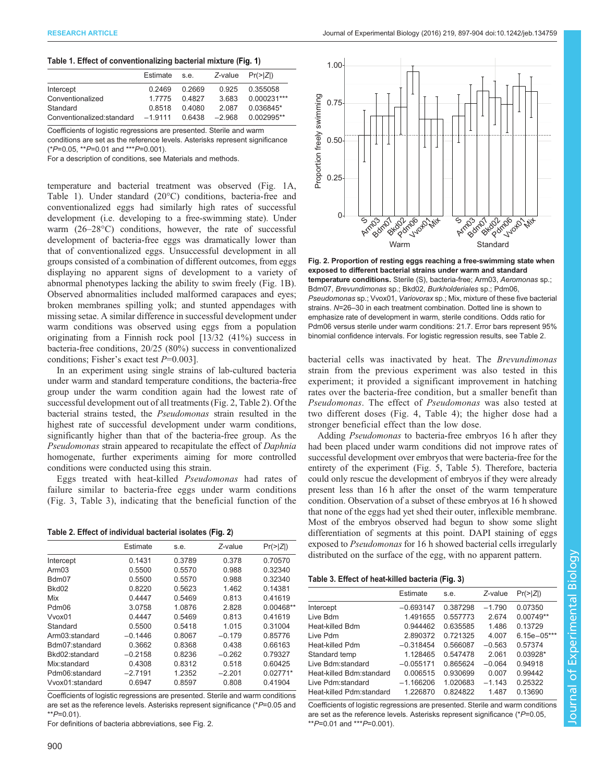#### <span id="page-3-0"></span>Table 1. Effect of conventionalizing bacterial mixture ([Fig. 1](#page-2-0))

|                           | Estimate  | s.e.   | $Z$ -value $Pr(>\vert Z \vert)$ |               |
|---------------------------|-----------|--------|---------------------------------|---------------|
| Intercept                 | 0.2469    | 0.2669 | 0.925                           | 0.355058      |
| Conventionalized          | 1 7 7 7 5 | 04827  | 3683                            | $0.000231***$ |
| Standard                  | 0.8518    | 0.4080 | 2.087                           | 0.036845*     |
| Conventionalized:standard | $-19111$  | 0 6438 | $-2.968$                        | $0.002995**$  |

Coefficients of logistic regressions are presented. Sterile and warm conditions are set as the reference levels. Asterisks represent significance

 $(*P=0.05, **P=0.01$  and \*\*\* $P=0.001$ .

For a description of conditions, see Materials and methods.

temperature and bacterial treatment was observed [\(Fig. 1A](#page-2-0), Table 1). Under standard (20°C) conditions, bacteria-free and conventionalized eggs had similarly high rates of successful development (i.e. developing to a free-swimming state). Under warm (26–28°C) conditions, however, the rate of successful development of bacteria-free eggs was dramatically lower than that of conventionalized eggs. Unsuccessful development in all groups consisted of a combination of different outcomes, from eggs displaying no apparent signs of development to a variety of abnormal phenotypes lacking the ability to swim freely ([Fig. 1](#page-2-0)B). Observed abnormalities included malformed carapaces and eyes; broken membranes spilling yolk; and stunted appendages with missing setae. A similar difference in successful development under warm conditions was observed using eggs from a population originating from a Finnish rock pool [13/32 (41%) success in bacteria-free conditions, 20/25 (80%) success in conventionalized conditions; Fisher's exact test  $P=0.003$ ].

In an experiment using single strains of lab-cultured bacteria under warm and standard temperature conditions, the bacteria-free group under the warm condition again had the lowest rate of successful development out of all treatments (Fig. 2, Table 2). Of the bacterial strains tested, the Pseudomonas strain resulted in the highest rate of successful development under warm conditions, significantly higher than that of the bacteria-free group. As the Pseudomonas strain appeared to recapitulate the effect of Daphnia homogenate, further experiments aiming for more controlled conditions were conducted using this strain.

Eggs treated with heat-killed Pseudomonas had rates of failure similar to bacteria-free eggs under warm conditions [\(Fig. 3](#page-4-0), Table 3), indicating that the beneficial function of the

|  | Table 2. Effect of individual bacterial isolates (Fig. 2) |  |  |  |  |
|--|-----------------------------------------------------------|--|--|--|--|
|--|-----------------------------------------------------------|--|--|--|--|

|                   | Estimate  | s.e.   | Z-value  | $Pr(>\vert Z \vert)$ |
|-------------------|-----------|--------|----------|----------------------|
| Intercept         | 0.1431    | 0.3789 | 0.378    | 0.70570              |
| Arm <sub>03</sub> | 0.5500    | 0.5570 | 0.988    | 0.32340              |
| Bdm07             | 0.5500    | 0.5570 | 0.988    | 0.32340              |
| Bkd02             | 0.8220    | 0.5623 | 1.462    | 0.14381              |
| Mix               | 0.4447    | 0.5469 | 0.813    | 0.41619              |
| Pdm06             | 3.0758    | 1.0876 | 2.828    | $0.00468**$          |
| Vvox01            | 0.4447    | 0.5469 | 0.813    | 0.41619              |
| Standard          | 0.5500    | 0.5418 | 1.015    | 0.31004              |
| Arm03: standard   | $-0.1446$ | 0.8067 | $-0.179$ | 0.85776              |
| Bdm07:standard    | 0.3662    | 0.8368 | 0.438    | 0.66163              |
| Bkd02:standard    | $-0.2158$ | 0.8236 | $-0.262$ | 0.79327              |
| Mix:standard      | 0.4308    | 0.8312 | 0.518    | 0.60425              |
| Pdm06:standard    | $-2.7191$ | 1.2352 | $-2.201$ | $0.02771*$           |
| Vvox01:standard   | 0.6947    | 0.8597 | 0.808    | 0.41904              |
|                   |           |        |          |                      |

Coefficients of logistic regressions are presented. Sterile and warm conditions are set as the reference levels. Asterisks represent significance (\*P=0.05 and  $*$  $P=0.01$ 

For definitions of bacteria abbreviations, see Fig. 2.



Fig. 2. Proportion of resting eggs reaching a free-swimming state when exposed to different bacterial strains under warm and standard temperature conditions. Sterile (S), bacteria-free; Arm03, Aeromonas sp.; Bdm07, Brevundimonas sp.; Bkd02, Burkholderiales sp.; Pdm06, Pseudomonas sp.; Vvox01, Variovorax sp.; Mix, mixture of these five bacterial strains. N=26–30 in each treatment combination. Dotted line is shown to emphasize rate of development in warm, sterile conditions. Odds ratio for Pdm06 versus sterile under warm conditions: 21.7. Error bars represent 95% binomial confidence intervals. For logistic regression results, see Table 2.

bacterial cells was inactivated by heat. The *Brevundimonas* strain from the previous experiment was also tested in this experiment; it provided a significant improvement in hatching rates over the bacteria-free condition, but a smaller benefit than Pseudomonas. The effect of Pseudomonas was also tested at two different doses ([Fig. 4, Table 4](#page-4-0)); the higher dose had a stronger beneficial effect than the low dose.

Adding Pseudomonas to bacteria-free embryos 16 h after they had been placed under warm conditions did not improve rates of successful development over embryos that were bacteria-free for the entirety of the experiment ([Fig. 5](#page-5-0), [Table 5\)](#page-4-0). Therefore, bacteria could only rescue the development of embryos if they were already present less than 16 h after the onset of the warm temperature condition. Observation of a subset of these embryos at 16 h showed that none of the eggs had yet shed their outer, inflexible membrane. Most of the embryos observed had begun to show some slight differentiation of segments at this point. DAPI staining of eggs exposed to *Pseudomonas* for 16 h showed bacterial cells irregularly distributed on the surface of the egg, with no apparent pattern.

## Table 3. Effect of heat-killed bacteria ([Fig. 3](#page-4-0))

|                          | Estimate    | s.e.     | Z-value  | $Pr(>\vert Z \vert)$ |
|--------------------------|-------------|----------|----------|----------------------|
| Intercept                | $-0.693147$ | 0.387298 | $-1.790$ | 0.07350              |
| Live Bdm                 | 1.491655    | 0.557773 | 2.674    | 0.00749**            |
| Heat-killed Bdm          | 0.944462    | 0.635585 | 1.486    | 0.13729              |
| I ive Pdm                | 2.890372    | 0.721325 | 4.007    | $6.15e - 05***$      |
| Heat-killed Pdm          | $-0.318454$ | 0.566087 | $-0.563$ | 0.57374              |
| Standard temp            | 1.128465    | 0.547478 | 2.061    | $0.03928*$           |
| Live Bdm:standard        | $-0.055171$ | 0.865624 | $-0.064$ | 0.94918              |
| Heat-killed Bdm:standard | 0.006515    | 0.930699 | 0.007    | 0.99442              |
| Live Pdm:standard        | $-1.166206$ | 1.020683 | $-1.143$ | 0.25322              |
| Heat-killed Pdm:standard | 1.226870    | 0.824822 | 1487     | 0.13690              |
|                          |             |          |          |                      |

Coefficients of logistic regressions are presented. Sterile and warm conditions are set as the reference levels. Asterisks represent significance (\*P=0.05,  $*$  $P=0.01$  and  $*$  $*$  $P=0.001$ ).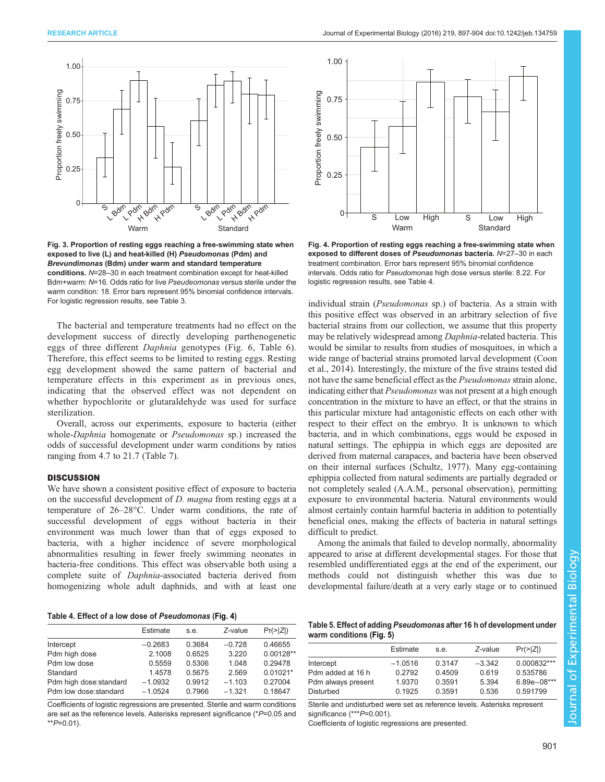<span id="page-4-0"></span>

Fig. 3. Proportion of resting eggs reaching a free-swimming state when exposed to live (L) and heat-killed (H) Pseudomonas (Pdm) and Brevundimonas (Bdm) under warm and standard temperature conditions. N=28–30 in each treatment combination except for heat-killed Bdm+warm: N=16. Odds ratio for live Pseudeomonas versus sterile under the warm condition: 18. Error bars represent 95% binomial confidence intervals. For logistic regression results, see [Table 3.](#page-3-0)

The bacterial and temperature treatments had no effect on the development success of directly developing parthenogenetic eggs of three different Daphnia genotypes ([Fig. 6, Table 6](#page-5-0)). Therefore, this effect seems to be limited to resting eggs. Resting egg development showed the same pattern of bacterial and temperature effects in this experiment as in previous ones, indicating that the observed effect was not dependent on whether hypochlorite or glutaraldehyde was used for surface sterilization.

Overall, across our experiments, exposure to bacteria (either whole-Daphnia homogenate or Pseudomonas sp.) increased the odds of successful development under warm conditions by ratios ranging from 4.7 to 21.7 ([Table 7\)](#page-5-0).

## **DISCUSSION**

We have shown a consistent positive effect of exposure to bacteria on the successful development of D. magna from resting eggs at a temperature of 26–28°C. Under warm conditions, the rate of successful development of eggs without bacteria in their environment was much lower than that of eggs exposed to bacteria, with a higher incidence of severe morphological abnormalities resulting in fewer freely swimming neonates in bacteria-free conditions. This effect was observable both using a complete suite of Daphnia-associated bacteria derived from homogenizing whole adult daphnids, and with at least one

Table 4. Effect of a low dose of Pseudomonas (Fig. 4)

|                         | Estimate  | s.e.   | Z-value  | $Pr(>\vert Z \vert)$ |
|-------------------------|-----------|--------|----------|----------------------|
| Intercept               | $-0.2683$ | 0.3684 | $-0.728$ | 0.46655              |
| Pdm high dose           | 2.1008    | 0.6525 | 3.220    | $0.00128**$          |
| Pdm low dose            | 0.5559    | 0.5306 | 1.048    | 0.29478              |
| Standard                | 1.4578    | 0.5675 | 2.569    | $0.01021*$           |
| Pdm high dose: standard | $-1.0932$ | 0.9912 | $-1.103$ | 0.27004              |
| Pdm low dose:standard   | $-1.0524$ | 0.7966 | $-1.321$ | 0.18647              |
|                         |           |        |          |                      |

Coefficients of logistic regressions are presented. Sterile and warm conditions are set as the reference levels. Asterisks represent significance (\*P=0.05 and  $*$  $P=0.01$ ).



Fig. 4. Proportion of resting eggs reaching a free-swimming state when exposed to different doses of Pseudomonas bacteria. N=27-30 in each treatment combination. Error bars represent 95% binomial confidence intervals. Odds ratio for Pseudomonas high dose versus sterile: 8.22. For logistic regression results, see Table 4.

individual strain (Pseudomonas sp.) of bacteria. As a strain with this positive effect was observed in an arbitrary selection of five bacterial strains from our collection, we assume that this property may be relatively widespread among Daphnia-related bacteria. This would be similar to results from studies of mosquitoes, in which a wide range of bacterial strains promoted larval development ([Coon](#page-6-0) [et al., 2014](#page-6-0)). Interestingly, the mixture of the five strains tested did not have the same beneficial effect as the Pseudomonas strain alone, indicating either that *Pseudomonas* was not present at a high enough concentration in the mixture to have an effect, or that the strains in this particular mixture had antagonistic effects on each other with respect to their effect on the embryo. It is unknown to which bacteria, and in which combinations, eggs would be exposed in natural settings. The ephippia in which eggs are deposited are derived from maternal carapaces, and bacteria have been observed on their internal surfaces ([Schultz, 1977\)](#page-7-0). Many egg-containing ephippia collected from natural sediments are partially degraded or not completely sealed (A.A.M., personal observation), permitting exposure to environmental bacteria. Natural environments would almost certainly contain harmful bacteria in addition to potentially beneficial ones, making the effects of bacteria in natural settings difficult to predict.

Among the animals that failed to develop normally, abnormality appeared to arise at different developmental stages. For those that resembled undifferentiated eggs at the end of the experiment, our methods could not distinguish whether this was due to developmental failure/death at a very early stage or to continued

|                          | Table 5. Effect of adding Pseudomonas after 16 h of development under |
|--------------------------|-----------------------------------------------------------------------|
| warm conditions (Fig. 5) |                                                                       |

|                    | Estimate  | s.e.   | Z-value  | $Pr(\geq  Z )$  |
|--------------------|-----------|--------|----------|-----------------|
| Intercept          | $-1.0516$ | 0.3147 | $-3.342$ | $0.000832***$   |
| Pdm added at 16 h  | 0.2792    | 0.4509 | 0.619    | 0.535786        |
| Pdm always present | 1.9370    | 0.3591 | 5.394    | $6.89e - 08***$ |
| <b>Disturbed</b>   | 0.1925    | 0.3591 | 0.536    | 0.591799        |

Sterile and undisturbed were set as reference levels. Asterisks represent significance (\*\*\*P=0.001).

Coefficients of logistic regressions are presented.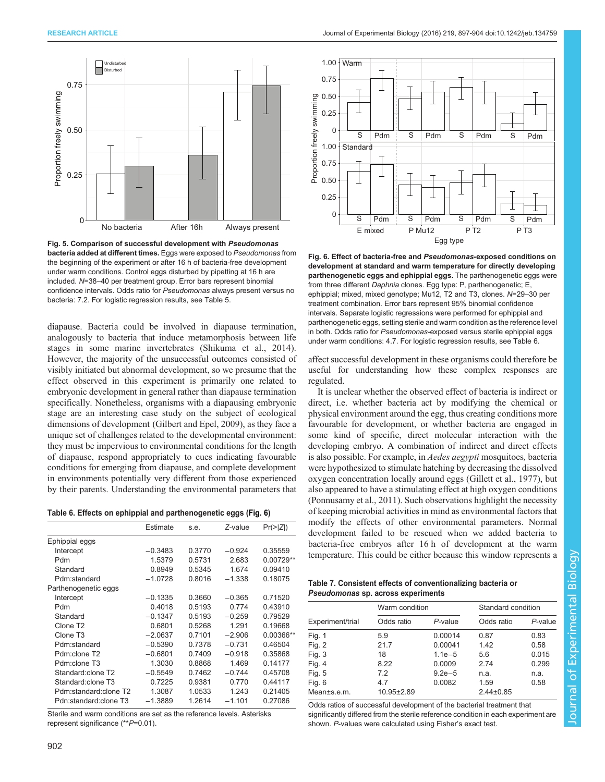<span id="page-5-0"></span>

Fig. 5. Comparison of successful development with Pseudomonas bacteria added at different times. Eggs were exposed to Pseudomonas from the beginning of the experiment or after 16 h of bacteria-free development under warm conditions. Control eggs disturbed by pipetting at 16 h are included. N=38–40 per treatment group. Error bars represent binomial confidence intervals. Odds ratio for Pseudomonas always present versus no bacteria: 7.2. For logistic regression results, see [Table 5.](#page-4-0)

diapause. Bacteria could be involved in diapause termination, analogously to bacteria that induce metamorphosis between life stages in some marine invertebrates [\(Shikuma et al., 2014\)](#page-7-0). However, the majority of the unsuccessful outcomes consisted of visibly initiated but abnormal development, so we presume that the effect observed in this experiment is primarily one related to embryonic development in general rather than diapause termination specifically. Nonetheless, organisms with a diapausing embryonic stage are an interesting case study on the subject of ecological dimensions of development [\(Gilbert and Epel, 2009\)](#page-7-0), as they face a unique set of challenges related to the developmental environment: they must be impervious to environmental conditions for the length of diapause, respond appropriately to cues indicating favourable conditions for emerging from diapause, and complete development in environments potentially very different from those experienced by their parents. Understanding the environmental parameters that

Table 6. Effects on ephippial and parthenogenetic eggs (Fig. 6)

|                       | Estimate  | s.e.   | Z-value  | $Pr(>\vert Z \vert)$ |
|-----------------------|-----------|--------|----------|----------------------|
| Ephippial eggs        |           |        |          |                      |
| Intercept             | $-0.3483$ | 0.3770 | $-0.924$ | 0.35559              |
| Pdm                   | 1.5379    | 0.5731 | 2.683    | 0.00729**            |
| Standard              | 0.8949    | 0.5345 | 1.674    | 0.09410              |
| Pdm:standard          | $-1.0728$ | 0.8016 | $-1.338$ | 0.18075              |
| Parthenogenetic eggs  |           |        |          |                      |
| Intercept             | $-0.1335$ | 0.3660 | $-0.365$ | 0.71520              |
| Pdm                   | 0.4018    | 0.5193 | 0.774    | 0.43910              |
| Standard              | $-0.1347$ | 0.5193 | $-0.259$ | 0.79529              |
| Clone T <sub>2</sub>  | 0.6801    | 0.5268 | 1.291    | 0.19668              |
| Clone T <sub>3</sub>  | $-2.0637$ | 0.7101 | $-2.906$ | 0.00366**            |
| Pdm:standard          | $-0.5390$ | 0.7378 | $-0.731$ | 0.46504              |
| Pdm:clone T2          | $-0.6801$ | 0.7409 | $-0.918$ | 0.35868              |
| Pdm:clone T3          | 1.3030    | 0.8868 | 1.469    | 0.14177              |
| Standard: clone T2    | $-0.5549$ | 0.7462 | $-0.744$ | 0.45708              |
| Standard: clone T3    | 0.7225    | 0.9381 | 0.770    | 0.44117              |
| Pdm:standard:clone T2 | 1.3087    | 1.0533 | 1.243    | 0.21405              |
| Pdn:standard:clone T3 | $-1.3889$ | 1.2614 | $-1.101$ | 0.27086              |

Sterile and warm conditions are set as the reference levels. Asterisks represent significance (\*\*P=0.01).



Fig. 6. Effect of bacteria-free and Pseudomonas-exposed conditions on development at standard and warm temperature for directly developing parthenogenetic eggs and ephippial eggs. The parthenogenetic eggs were from three different Daphnia clones. Egg type: P, parthenogenetic; E, ephippial; mixed, mixed genotype; Mu12, T2 and T3, clones. N=29–30 per treatment combination. Error bars represent 95% binomial confidence intervals. Separate logistic regressions were performed for ephippial and parthenogenetic eggs, setting sterile and warm condition as the reference level in both. Odds ratio for Pseudomonas-exposed versus sterile ephippial eggs under warm conditions: 4.7. For logistic regression results, see Table 6.

affect successful development in these organisms could therefore be useful for understanding how these complex responses are regulated.

It is unclear whether the observed effect of bacteria is indirect or direct, i.e. whether bacteria act by modifying the chemical or physical environment around the egg, thus creating conditions more favourable for development, or whether bacteria are engaged in some kind of specific, direct molecular interaction with the developing embryo. A combination of indirect and direct effects is also possible. For example, in *Aedes aegypti* mosquitoes, bacteria were hypothesized to stimulate hatching by decreasing the dissolved oxygen concentration locally around eggs [\(Gillett et al., 1977\)](#page-7-0), but also appeared to have a stimulating effect at high oxygen conditions [\(Ponnusamy et al., 2011](#page-7-0)). Such observations highlight the necessity of keeping microbial activities in mind as environmental factors that modify the effects of other environmental parameters. Normal development failed to be rescued when we added bacteria to bacteria-free embryos after 16 h of development at the warm temperature. This could be either because this window represents a

## Table 7. Consistent effects of conventionalizing bacteria or Pseudomonas sp. across experiments

|                  | Warm condition   |            |                 | Standard condition |  |
|------------------|------------------|------------|-----------------|--------------------|--|
| Experiment/trial | Odds ratio       | P-value    | Odds ratio      | $P$ -value         |  |
| Fig. 1           | 5.9              | 0.00014    | 0.87            | 0.83               |  |
| Fig. $2$         | 21.7             | 0.00041    | 1.42            | 0.58               |  |
| Fig. $3$         | 18               | $1.1e-5$   | 5.6             | 0.015              |  |
| Fig. 4           | 8.22             | 0.0009     | 2.74            | 0.299              |  |
| Fig. $5$         | 72               | $9.2e - 5$ | n.a.            | n.a.               |  |
| Fig. 6           | 4.7              | 0.0082     | 1.59            | 0.58               |  |
| Mean±s.e.m.      | $10.95 \pm 2.89$ |            | $2.44 \pm 0.85$ |                    |  |

Odds ratios of successful development of the bacterial treatment that significantly differed from the sterile reference condition in each experiment are shown. P-values were calculated using Fisher's exact test.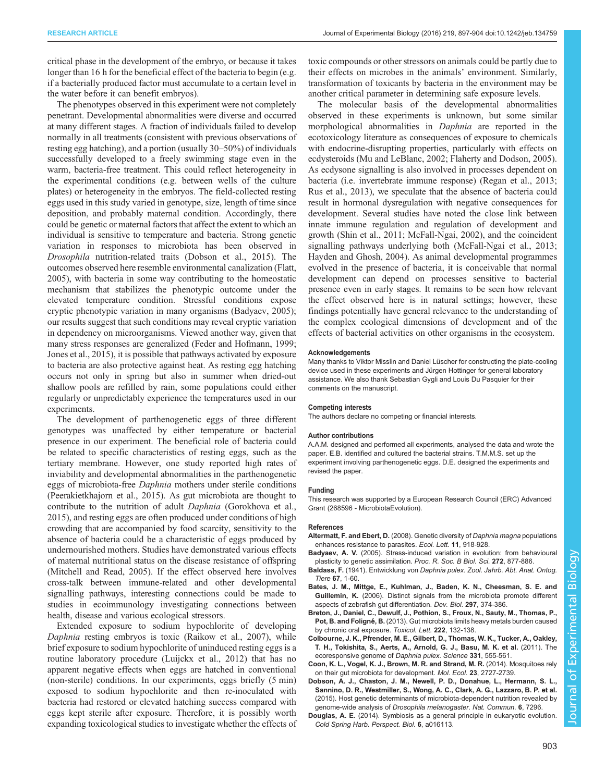<span id="page-6-0"></span>critical phase in the development of the embryo, or because it takes longer than 16 h for the beneficial effect of the bacteria to begin (e.g. if a bacterially produced factor must accumulate to a certain level in the water before it can benefit embryos).

The phenotypes observed in this experiment were not completely penetrant. Developmental abnormalities were diverse and occurred at many different stages. A fraction of individuals failed to develop normally in all treatments (consistent with previous observations of resting egg hatching), and a portion (usually 30–50%) of individuals successfully developed to a freely swimming stage even in the warm, bacteria-free treatment. This could reflect heterogeneity in the experimental conditions (e.g. between wells of the culture plates) or heterogeneity in the embryos. The field-collected resting eggs used in this study varied in genotype, size, length of time since deposition, and probably maternal condition. Accordingly, there could be genetic or maternal factors that affect the extent to which an individual is sensitive to temperature and bacteria. Strong genetic variation in responses to microbiota has been observed in Drosophila nutrition-related traits (Dobson et al., 2015). The outcomes observed here resemble environmental canalization ([Flatt,](#page-7-0) [2005](#page-7-0)), with bacteria in some way contributing to the homeostatic mechanism that stabilizes the phenotypic outcome under the elevated temperature condition. Stressful conditions expose cryptic phenotypic variation in many organisms (Badyaev, 2005); our results suggest that such conditions may reveal cryptic variation in dependency on microorganisms. Viewed another way, given that many stress responses are generalized [\(Feder and Hofmann, 1999](#page-7-0); [Jones et al., 2015\)](#page-7-0), it is possible that pathways activated by exposure to bacteria are also protective against heat. As resting egg hatching occurs not only in spring but also in summer when dried-out shallow pools are refilled by rain, some populations could either regularly or unpredictably experience the temperatures used in our experiments.

The development of parthenogenetic eggs of three different genotypes was unaffected by either temperature or bacterial presence in our experiment. The beneficial role of bacteria could be related to specific characteristics of resting eggs, such as the tertiary membrane. However, one study reported high rates of inviability and developmental abnormalities in the parthenogenetic eggs of microbiota-free Daphnia mothers under sterile conditions [\(Peerakietkhajorn et al., 2015](#page-7-0)). As gut microbiota are thought to contribute to the nutrition of adult Daphnia ([Gorokhova et al.,](#page-7-0) [2015](#page-7-0)), and resting eggs are often produced under conditions of high crowding that are accompanied by food scarcity, sensitivity to the absence of bacteria could be a characteristic of eggs produced by undernourished mothers. Studies have demonstrated various effects of maternal nutritional status on the disease resistance of offspring [\(Mitchell and Read, 2005\)](#page-7-0). If the effect observed here involves cross-talk between immune-related and other developmental signalling pathways, interesting connections could be made to studies in ecoimmunology investigating connections between health, disease and various ecological stressors.

Extended exposure to sodium hypochlorite of developing Daphnia resting embryos is toxic [\(Raikow et al., 2007](#page-7-0)), while brief exposure to sodium hypochlorite of uninduced resting eggs is a routine laboratory procedure ([Luijckx et al., 2012](#page-7-0)) that has no apparent negative effects when eggs are hatched in conventional (non-sterile) conditions. In our experiments, eggs briefly (5 min) exposed to sodium hypochlorite and then re-inoculated with bacteria had restored or elevated hatching success compared with eggs kept sterile after exposure. Therefore, it is possibly worth expanding toxicological studies to investigate whether the effects of toxic compounds or other stressors on animals could be partly due to their effects on microbes in the animals' environment. Similarly, transformation of toxicants by bacteria in the environment may be another critical parameter in determining safe exposure levels.

The molecular basis of the developmental abnormalities observed in these experiments is unknown, but some similar morphological abnormalities in Daphnia are reported in the ecotoxicology literature as consequences of exposure to chemicals with endocrine-disrupting properties, particularly with effects on ecdysteroids ([Mu and LeBlanc, 2002; Flaherty and Dodson, 2005\)](#page-7-0). As ecdysone signalling is also involved in processes dependent on bacteria (i.e. invertebrate immune response) ([Regan et al., 2013](#page-7-0); [Rus et al., 2013\)](#page-7-0), we speculate that the absence of bacteria could result in hormonal dysregulation with negative consequences for development. Several studies have noted the close link between innate immune regulation and regulation of development and growth [\(Shin et al., 2011; McFall-Ngai, 2002\)](#page-7-0), and the coincident signalling pathways underlying both ([McFall-Ngai et al., 2013](#page-7-0); [Hayden and Ghosh, 2004](#page-7-0)). As animal developmental programmes evolved in the presence of bacteria, it is conceivable that normal development can depend on processes sensitive to bacterial presence even in early stages. It remains to be seen how relevant the effect observed here is in natural settings; however, these findings potentially have general relevance to the understanding of the complex ecological dimensions of development and of the effects of bacterial activities on other organisms in the ecosystem.

#### Acknowledgements

Many thanks to Viktor Misslin and Daniel Lüscher for constructing the plate-cooling device used in these experiments and Jürgen Hottinger for general laboratory assistance. We also thank Sebastian Gygli and Louis Du Pasquier for their comments on the manuscript.

#### Competing interests

The authors declare no competing or financial interests.

#### Author contributions

A.A.M. designed and performed all experiments, analysed the data and wrote the paper. E.B. identified and cultured the bacterial strains. T.M.M.S. set up the experiment involving parthenogenetic eggs. D.E. designed the experiments and revised the paper.

#### Funding

This research was supported by a European Research Council (ERC) Advanced Grant (268596 - MicrobiotaEvolution).

#### References

- [Altermatt, F. and Ebert, D.](http://dx.doi.org/10.1111/j.1461-0248.2008.01203.x) (2008). Genetic diversity of Daphnia magna populations [enhances resistance to parasites.](http://dx.doi.org/10.1111/j.1461-0248.2008.01203.x) Ecol. Lett. 11, 918-928.
- Badyaev, A. V. [\(2005\). Stress-induced variation in evolution: from behavioural](http://dx.doi.org/10.1098/rspb.2004.3045) [plasticity to genetic assimilation.](http://dx.doi.org/10.1098/rspb.2004.3045) Proc. R. Soc. B Biol. Sci. 272, 877-886.
- Baldass, F. (1941). Entwicklung von Daphnia pulex. Zool. Jahrb. Abt. Anat. Ontog. Tiere 67, 1-60.
- [Bates, J. M., Mittge, E., Kuhlman, J., Baden, K. N., Cheesman, S. E. and](http://dx.doi.org/10.1016/j.ydbio.2006.05.006) Guillemin, K. [\(2006\). Distinct signals from the microbiota promote different](http://dx.doi.org/10.1016/j.ydbio.2006.05.006) [aspects of zebrafish gut differentiation.](http://dx.doi.org/10.1016/j.ydbio.2006.05.006) Dev. Biol. 297, 374-386.
- [Breton, J., Daniel, C., Dewulf, J., Pothion, S., Froux, N., Sauty, M., Thomas, P.,](http://dx.doi.org/10.1016/j.toxlet.2013.07.021) Pot, B. and Foligné, B. [\(2013\). Gut microbiota limits heavy metals burden caused](http://dx.doi.org/10.1016/j.toxlet.2013.07.021) [by chronic oral exposure.](http://dx.doi.org/10.1016/j.toxlet.2013.07.021) Toxicol. Lett. 222, 132-138.
- [Colbourne, J. K., Pfrender, M. E., Gilbert, D., Thomas, W. K., Tucker, A., Oakley,](http://dx.doi.org/10.1126/science.1197761) [T. H., Tokishita, S., Aerts, A., Arnold, G. J., Basu, M. K. et al.](http://dx.doi.org/10.1126/science.1197761) (2011). The [ecoresponsive genome of](http://dx.doi.org/10.1126/science.1197761) Daphnia pulex. Science 331, 555-561.
- [Coon, K. L., Vogel, K. J., Brown, M. R. and Strand, M. R.](http://dx.doi.org/10.1111/mec.12771) (2014). Mosquitoes rely [on their gut microbiota for development.](http://dx.doi.org/10.1111/mec.12771) Mol. Ecol. 23, 2727-2739.
- [Dobson, A. J., Chaston, J. M., Newell, P. D., Donahue, L., Hermann, S. L.,](http://dx.doi.org/10.1038/ncomms8296) [Sannino, D. R., Westmiller, S., Wong, A. C., Clark, A. G., Lazzaro, B. P. et al.](http://dx.doi.org/10.1038/ncomms8296) [\(2015\). Host genetic determinants of microbiota-dependent nutrition revealed by](http://dx.doi.org/10.1038/ncomms8296) genome-wide analysis of [Drosophila melanogaster](http://dx.doi.org/10.1038/ncomms8296). Nat. Commun. 6, 7296.
- Douglas, A. E. [\(2014\). Symbiosis as a general principle in eukaryotic evolution.](http://dx.doi.org/10.1101/cshperspect.a016113) [Cold Spring Harb. Perspect. Biol.](http://dx.doi.org/10.1101/cshperspect.a016113) 6, a016113.